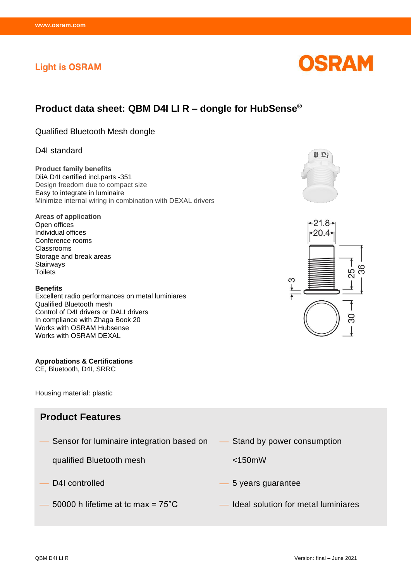## **Light is OSRAM**

# **Product data sheet: QBM D4I LI R – dongle for HubSense®**

Qualified Bluetooth Mesh dongle

## D4I standard

**Product family benefits** DiiA D4I certified incl.parts -351 Design freedom due to compact size Easy to integrate in luminaire Minimize internal wiring in combination with DEXAL drivers

**Areas of application** Open offices Individual offices Conference rooms Classrooms Storage and break areas Stairways **Toilets** 

#### **Benefits**

Excellent radio performances on metal luminiares Qualified Bluetooth mesh Control of D4I drivers or DALI drivers In compliance with Zhaga Book 20 Works with OSRAM Hubsense Works with OSRAM DEXAL

### **Approbations & Certifications**

CE, Bluetooth, D4I, SRRC

Housing material: plastic

## **Product Features**

Sensor for luminaire integration based on

qualified Bluetooth mesh

- 
- 
- Stand by power consumption
	- <150mW
- D4I controlled **b** 5 years guarantee
- $50000$  h lifetime at tc max =  $75^{\circ}$ C  $\qquad \qquad$  Ideal solution for metal luminiares





0 Di

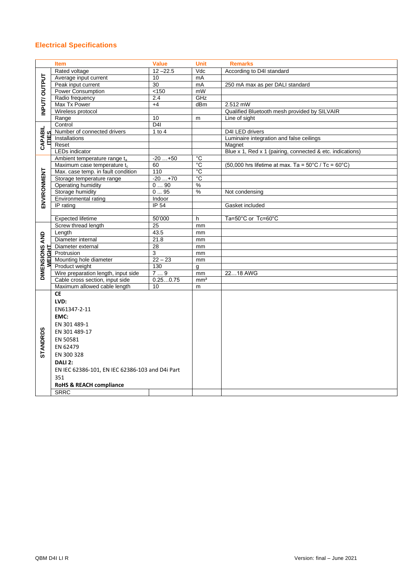## **Electrical Specifications**

| <b>Item</b><br><b>Value</b><br><b>Unit</b><br><b>Remarks</b> |                                                 |                 |                 |                                                                         |  |
|--------------------------------------------------------------|-------------------------------------------------|-----------------|-----------------|-------------------------------------------------------------------------|--|
| INPUT/OUTPUT                                                 | Rated voltage                                   | $12 - 22.5$     | Vdc             | According to D4I standard                                               |  |
|                                                              | Average input current                           | 10              | mA              |                                                                         |  |
|                                                              | Peak input current                              | 30              | mA              | 250 mA max as per DALI standard                                         |  |
|                                                              | <b>Power Consumption</b>                        | < 150           | mW              |                                                                         |  |
|                                                              | Radio frequency                                 | 2.4             | GHz             |                                                                         |  |
|                                                              | Max Tx Power                                    | $+4$            | dBm             | $2.512$ mW                                                              |  |
|                                                              | Wireless protocol                               |                 |                 | Qualified Bluetooth mesh provided by SILVAIR                            |  |
|                                                              | Range                                           | 10              | m               | Line of sight                                                           |  |
| <b>CAPABIL</b><br>ITIFS                                      | Control                                         | D <sub>4</sub>  |                 |                                                                         |  |
|                                                              | Number of connected drivers                     | 1 to $4$        |                 | D4I LED drivers                                                         |  |
|                                                              | Installations                                   |                 |                 | Luminaire integration and false ceilings                                |  |
|                                                              | Reset                                           |                 |                 | Magnet                                                                  |  |
|                                                              | <b>LEDs indicator</b>                           |                 |                 | Blue x 1, Red x 1 (pairing, connected & etc. indications)               |  |
|                                                              | Ambient temperature range ta                    | $-20+50$        | $^{\circ}$ C    |                                                                         |  |
|                                                              | Maximum case temperature t <sub>c</sub>         | 60              | $^{\circ}$ C    | (50,000 hrs lifetime at max. Ta = $50^{\circ}$ C / Tc = $60^{\circ}$ C) |  |
|                                                              | Max. case temp. in fault condition              | 110             | $^{\circ}$ C    |                                                                         |  |
| ENVIRONMENT                                                  | Storage temperature range                       | $-20+70$        | $\overline{C}$  |                                                                         |  |
|                                                              | <b>Operating humidity</b>                       | 090             | $\%$            |                                                                         |  |
|                                                              | Storage humidity                                | 095             | $\%$            | Not condensing                                                          |  |
|                                                              | Environmental rating                            | Indoor          |                 |                                                                         |  |
|                                                              | IP rating                                       | <b>IP 54</b>    |                 | Gasket included                                                         |  |
|                                                              | <b>Expected lifetime</b>                        | 50'000          | h               |                                                                         |  |
| AND                                                          | Screw thread length                             | $\overline{25}$ | mm              | Ta=50°C or Tc=60°C                                                      |  |
|                                                              | Length                                          | 43.5            | mm              |                                                                         |  |
|                                                              | Diameter internal                               | 21.8            | mm              |                                                                         |  |
|                                                              | Diameter external                               | 28              | mm              |                                                                         |  |
|                                                              | Protrusion                                      | 3               | mm              |                                                                         |  |
|                                                              | Mounting hole diameter                          | $22 - 23$       | mm              |                                                                         |  |
|                                                              | Product weight                                  | 130             | a               |                                                                         |  |
| dimensions <i>i</i><br>Weight                                | Wire preparation length, input side             | 79              | mm              | 2218 AWG                                                                |  |
|                                                              | Cable cross section, input side                 | 0.250.75        | mm <sup>2</sup> |                                                                         |  |
|                                                              | Maximum allowed cable length                    | 10              | m               |                                                                         |  |
| <b>STANDRDS</b>                                              | <b>CE</b>                                       |                 |                 |                                                                         |  |
|                                                              | LVD:                                            |                 |                 |                                                                         |  |
|                                                              | EN61347-2-11                                    |                 |                 |                                                                         |  |
|                                                              | EMC:                                            |                 |                 |                                                                         |  |
|                                                              |                                                 |                 |                 |                                                                         |  |
|                                                              | EN 301 489-1                                    |                 |                 |                                                                         |  |
|                                                              | EN 301 489-17                                   |                 |                 |                                                                         |  |
|                                                              | EN 50581                                        |                 |                 |                                                                         |  |
|                                                              | EN 62479                                        |                 |                 |                                                                         |  |
|                                                              | EN 300 328                                      |                 |                 |                                                                         |  |
|                                                              | DALI 2:                                         |                 |                 |                                                                         |  |
|                                                              | EN IEC 62386-101, EN IEC 62386-103 and D4i Part |                 |                 |                                                                         |  |
|                                                              | 351                                             |                 |                 |                                                                         |  |
|                                                              | <b>RoHS &amp; REACH compliance</b>              |                 |                 |                                                                         |  |
|                                                              | <b>SRRC</b>                                     |                 |                 |                                                                         |  |
|                                                              |                                                 |                 |                 |                                                                         |  |